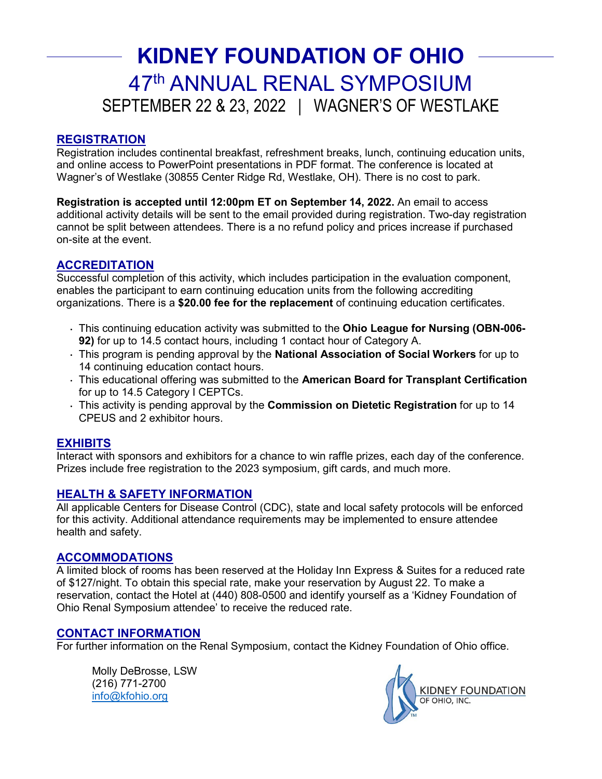## SEPTEMBER 22 & 23, 2022 | WAGNER'S OF WESTLAKE **KIDNEY FOUNDATION OF OHIO**  47th ANNUAL RENAL SYMPOSIUM

### **REGISTRATION**

 Registration includes continental breakfast, refreshment breaks, lunch, continuing education units, Wagner's of Westlake (30855 Center Ridge Rd, Westlake, OH). There is no cost to park. and online access to PowerPoint presentations in PDF format. The conference is located at

 additional activity details will be sent to the email provided during registration. Two-day registration **Registration is accepted until 12:00pm ET on September 14, 2022.** An email to access cannot be split between attendees. There is a no refund policy and prices increase if purchased on-site at the event.

### **ACCREDITATION**

 enables the participant to earn continuing education units from the following accrediting Successful completion of this activity, which includes participation in the evaluation component, organizations. There is a **\$20.00 fee for the replacement** of continuing education certificates.

- ⋅ This continuing education activity was submitted to the **Ohio League for Nursing (OBN-006- 92)** for up to 14.5 contact hours, including 1 contact hour of Category A.
- ⋅ This program is pending approval by the **National Association of Social Workers** for up to 14 continuing education contact hours.
- ⋅ This educational offering was submitted to the **American Board for Transplant Certification**  for up to 14.5 Category I CEPTCs.
- CPEUS and 2 exhibitor hours. ⋅ This activity is pending approval by the **Commission on Dietetic Registration** for up to 14

#### **EXHIBITS**

 Prizes include free registration to the 2023 symposium, gift cards, and much more. Interact with sponsors and exhibitors for a chance to win raffle prizes, each day of the conference.

#### **HEALTH & SAFETY INFORMATION**

All applicable Centers for Disease Control (CDC), state and local safety protocols will be enforced for this activity. Additional attendance requirements may be implemented to ensure attendee health and safety.

#### **ACCOMMODATIONS**

 A limited block of rooms has been reserved at the Holiday Inn Express & Suites for a reduced rate Ohio Renal Symposium attendee' to receive the reduced rate. of \$127/night. To obtain this special rate, make your reservation by August 22. To make a reservation, contact the Hotel at (440) 808-0500 and identify yourself as a 'Kidney Foundation of

#### **CONTACT INFORMATION**

For further information on the Renal Symposium, contact the Kidney Foundation of Ohio office.<br>Molly DeBrosse, LSW

(216) 771-2700 info@kfohio.org

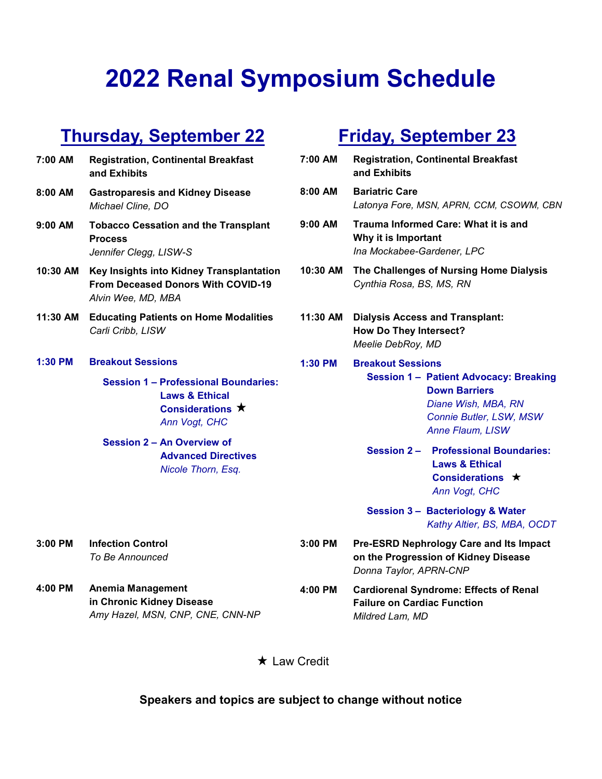# **2022 Renal Symposium Schedule**

### **Thursday, September 22**

| 7:00 AM  | <b>Registration, Continental Breakfast</b><br>and Exhibits                                                          | 7:0             |
|----------|---------------------------------------------------------------------------------------------------------------------|-----------------|
| 8:00 AM  | <b>Gastroparesis and Kidney Disease</b><br>Michael Cline, DO                                                        | 8:0             |
| 9:00 AM  | <b>Tobacco Cessation and the Transplant</b><br><b>Process</b><br>Jennifer Clegg, LISW-S                             | 9:0             |
| 10:30 AM | Key Insights into Kidney Transplantation<br><b>From Deceased Donors With COVID-19</b><br>Alvin Wee, MD, MBA         | 10 <sub>i</sub> |
| 11:30 AM | <b>Educating Patients on Home Modalities</b><br>Carli Cribb, LISW                                                   | $11$ :          |
| 1:30 PM  | <b>Breakout Sessions</b>                                                                                            | 1:3             |
|          | <b>Session 1 - Professional Boundaries:</b><br><b>Laws &amp; Ethical</b><br>Considerations $\star$<br>Ann Vogt, CHC |                 |
|          | <b>Session 2 - An Overview of</b><br><b>Advanced Directives</b><br>Nicole Thorn, Esq.                               |                 |
| 3:00 PM  | <b>Infection Control</b>                                                                                            | 3:0             |
|          | To Be Announced                                                                                                     |                 |

**4:00 PM Anemia Management in Chronic Kidney Disease**  *Amy Hazel, MSN, CNP, CNE, CNN-NP* 

### **Friday, September 23**

| 7:00 AM   | <b>Registration, Continental Breakfast</b><br>and Exhibits                                                                                                              |
|-----------|-------------------------------------------------------------------------------------------------------------------------------------------------------------------------|
| $8:00$ AM | <b>Bariatric Care</b><br>Latonya Fore, MSN, APRN, CCM, CSOWM, CBN                                                                                                       |
| $9:00$ AM | Trauma Informed Care: What it is and<br>Why it is Important<br>Ina Mockabee-Gardener, LPC                                                                               |
| 10:30 AM  | The Challenges of Nursing Home Dialysis<br>Cynthia Rosa, BS, MS, RN                                                                                                     |
| 11:30 AM  | <b>Dialysis Access and Transplant:</b><br><b>How Do They Intersect?</b><br>Meelie DebRoy, MD                                                                            |
| 1:30 PM   | <b>Breakout Sessions</b><br><b>Session 1 - Patient Advocacy: Breaking</b><br><b>Down Barriers</b><br>Diane Wish, MBA, RN<br>Connie Butler, LSW, MSW<br>Anne Flaum, LISW |
|           | Session 2 - Professional Boundaries:<br><b>Laws &amp; Ethical</b><br>Considerations $\star$<br>Ann Vogt, CHC                                                            |
|           | Session 3 - Bacteriology & Water<br>Kathy Altier, BS, MBA, OCDT                                                                                                         |

- **3:00 PM Pre-ESRD Nephrology Care and Its Impact on the Progression of Kidney Disease**  *Donna Taylor, APRN-CNP* 
	- **4:00 PM Cardiorenal Syndrome: Effects of Renal Failure on Cardiac Function**  *Mildred Lam, MD*

\* Law Credit

### **Speakers and topics are subject to change without notice**